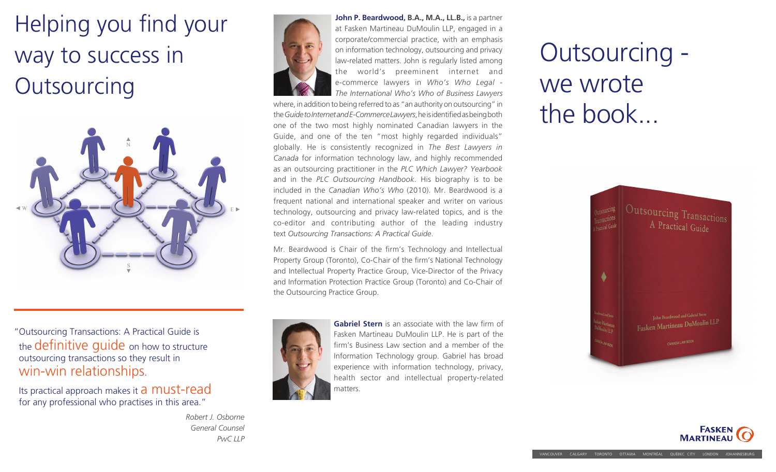## Helping you find your way to success in **Outsourcing**



"Outsourcing Transactions: A Practical Guide is the **definitive quide** on how to structure outsourcing transactions so they result in win-win relationships.

Its practical approach makes it a **must-read** for any professional who practises in this area."

> *Robert J. Osborne General Counsel PwC LLP*



**John P. Beardwood, B.A., M.A., LL.B.,** is a partner at Fasken Martineau DuMoulin LLP, engaged in a corporate/commercial practice, with an emphasis on information technology, outsourcing and privacy law-related matters. John is regularly listed among the world's preeminent internet and e-commerce lawyers in *Who's Who Legal - The International Who's Who of Business Lawyers*

where, in addition to being referred to as "an authority on outsourcing" in the *Guide to Internet and E-Commerce Lawyers*, he is identified as being both one of the two most highly nominated Canadian lawyers in the Guide, and one of the ten "most highly regarded individuals" globally. He is consistently recognized in *The Best Lawyers in Canada* for information technology law, and highly recommended as an outsourcing practitioner in the *PLC Which Lawyer? Yearbook*  and in the *PLC Outsourcing Handbook*. His biography is to be included in the *Canadian Who's Who* (2010). Mr. Beardwood is a frequent national and international speaker and writer on various technology, outsourcing and privacy law-related topics, and is the co-editor and contributing author of the leading industry text *Outsourcing Transactions: A Practical Guide*.

Mr. Beardwood is Chair of the firm's Technology and Intellectual Property Group (Toronto), Co-Chair of the firm's National Technology and Intellectual Property Practice Group, Vice-Director of the Privacy and Information Protection Practice Group (Toronto) and Co-Chair of the Outsourcing Practice Group.



**Gabriel Stern** is an associate with the law firm of Fasken Martineau DuMoulin LLP. He is part of the firm's Business Law section and a member of the Information Technology group. Gabriel has broad experience with information technology, privacy, health sector and intellectual property-related matters.

# Outsourcing we wrote the book...